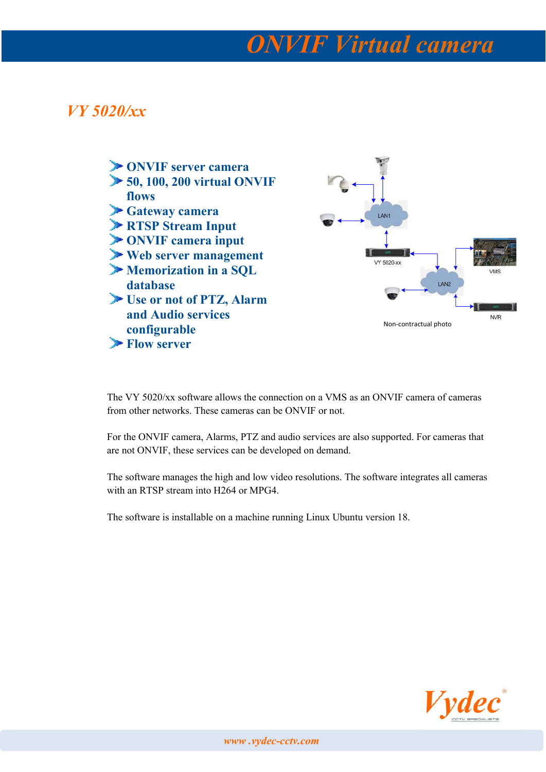## *ONVIF Virtual camera*

### *VY 5020/xx*



The VY 5020/xx software allows the connection on a VMS as an ONVIF camera of cameras from other networks. These cameras can be ONVIF or not.

For the ONVIF camera, Alarms, PTZ and audio services are also supported. For cameras that are not ONVIF, these services can be developed on demand.

The software manages the high and low video resolutions. The software integrates all cameras with an RTSP stream into H264 or MPG4.

The software is installable on a machine running Linux Ubuntu version 18.